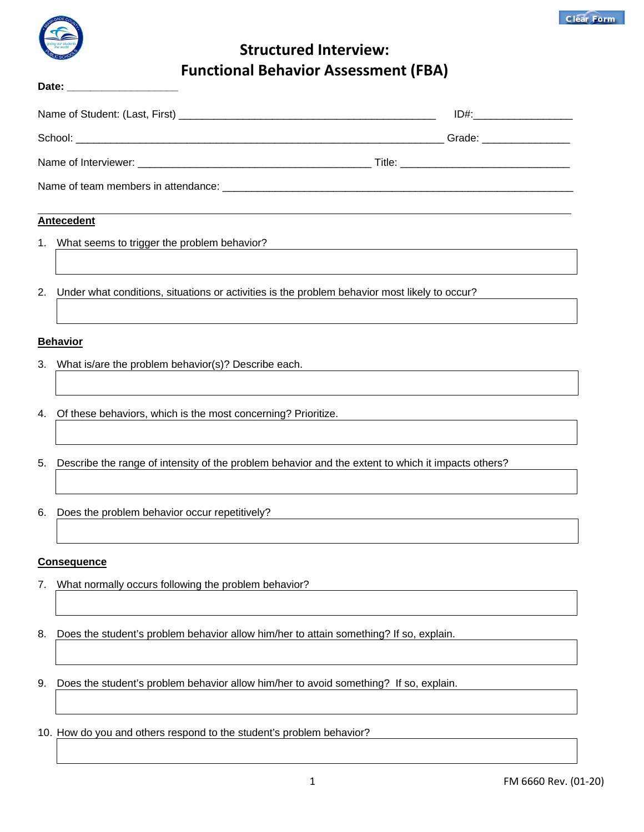

Date:

# **Structured Interview: Functional Behavior Assessment (FBA)**

|                                                                                                  | <u>ID#:________________________</u> |  |  |  |
|--------------------------------------------------------------------------------------------------|-------------------------------------|--|--|--|
|                                                                                                  |                                     |  |  |  |
|                                                                                                  |                                     |  |  |  |
|                                                                                                  |                                     |  |  |  |
| <b>Antecedent</b>                                                                                |                                     |  |  |  |
| 1. What seems to trigger the problem behavior?                                                   |                                     |  |  |  |
|                                                                                                  |                                     |  |  |  |
| 2. Under what conditions, situations or activities is the problem behavior most likely to occur? |                                     |  |  |  |
|                                                                                                  |                                     |  |  |  |
| <b>Behavior</b>                                                                                  |                                     |  |  |  |

- 3. What is/are the problem behavior(s)? Describe each.
- 4. Of these behaviors, which is the most concerning? Prioritize.
- 5. Describe the range of intensity of the problem behavior and the extent to which it impacts others?
- 6. Does the problem behavior occur repetitively?

### **Consequence**

- 7. What normally occurs following the problem behavior?
- 8. Does the student's problem behavior allow him/her to attain something? If so, explain.
- 9. Does the student's problem behavior allow him/her to avoid something? If so, explain.
- 10. How do you and others respond to the student's problem behavior?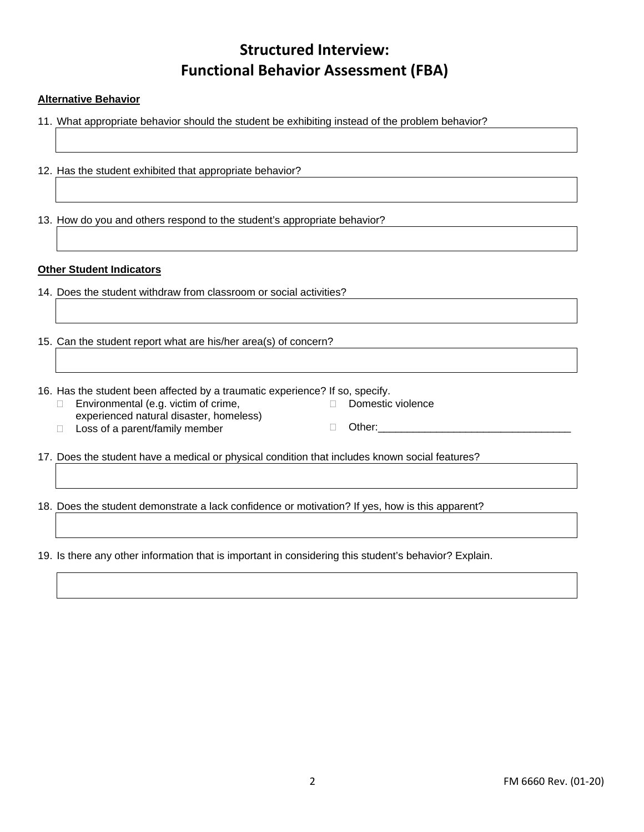# **Structured Interview: Functional Behavior Assessment (FBA)**

### **Alternative Behavior**

- 11. What appropriate behavior should the student be exhibiting instead of the problem behavior?
- 12. Has the student exhibited that appropriate behavior?

13. How do you and others respond to the student's appropriate behavior?

#### **Other Student Indicators**

- 14. Does the student withdraw from classroom or social activities?
- 15. Can the student report what are his/her area(s) of concern?
- 16. Has the student been affected by a traumatic experience? If so, specify.
	- $\Box$  Environmental (e.g. victim of crime, experienced natural disaster, homeless)
- Domestic violence
- $\Box$  Loss of a parent/family member
- $\Box$  Other:

17. Does the student have a medical or physical condition that includes known social features?

18. Does the student demonstrate a lack confidence or motivation? If yes, how is this apparent?

19. Is there any other information that is important in considering this student's behavior? Explain.